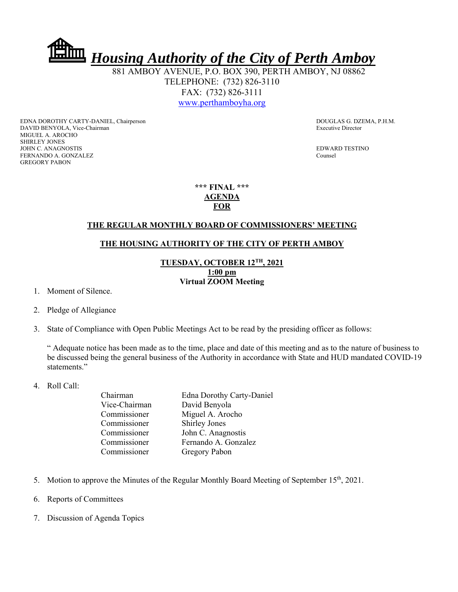

 881 AMBOY AVENUE, P.O. BOX 390, PERTH AMBOY, NJ 08862 TELEPHONE: (732) 826-3110 FAX: (732) 826-3111 www.perthamboyha.org

EDNA DOROTHY CARTY-DANIEL, Chairperson **DOUGLAS G. DZEMA, P.H.M.** DAVID BENYOLA, Vice-Chairman Executive Director MIGUEL A. AROCHO SHIRLEY JONES JOHN C. ANAGNOSTIS EDWARD TESTINO FERNANDO A. GONZALEZ Counsel GREGORY PABON

**\*\*\* FINAL \*\*\* AGENDA FOR** 

## **THE REGULAR MONTHLY BOARD OF COMMISSIONERS' MEETING**

## **THE HOUSING AUTHORITY OF THE CITY OF PERTH AMBOY**

## **TUESDAY, OCTOBER 12TH, 2021 1:00 pm Virtual ZOOM Meeting**

- 1. Moment of Silence.
- 2. Pledge of Allegiance
- 3. State of Compliance with Open Public Meetings Act to be read by the presiding officer as follows:

" Adequate notice has been made as to the time, place and date of this meeting and as to the nature of business to be discussed being the general business of the Authority in accordance with State and HUD mandated COVID-19 statements."

4. Roll Call:

| Chairman      | <b>Edna Dorothy Carty-Daniel</b> |
|---------------|----------------------------------|
| Vice-Chairman | David Benyola                    |
| Commissioner  | Miguel A. Arocho                 |
| Commissioner  | <b>Shirley Jones</b>             |
| Commissioner  | John C. Anagnostis               |
| Commissioner  | Fernando A. Gonzalez             |
| Commissioner  | Gregory Pabon                    |
|               |                                  |

- 5. Motion to approve the Minutes of the Regular Monthly Board Meeting of September 15<sup>th</sup>, 2021.
- 6. Reports of Committees
- 7. Discussion of Agenda Topics